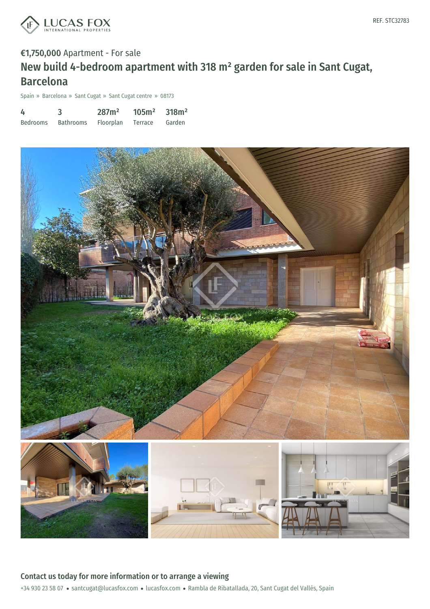

# €1,750,000 Apartment - For sale New build 4-bedroom apartment with 318 m² garden for sale in Sant Cugat, Barcelona

Spain » Barcelona » Sant Cugat » Sant Cugat centre » 08173

| 4               |                  | 287m <sup>2</sup> | $105m^2$ 318m <sup>2</sup> |        |
|-----------------|------------------|-------------------|----------------------------|--------|
| <b>Bedrooms</b> | <b>Bathrooms</b> | <b>Floorplan</b>  | Terrace                    | Garden |



### +34 930 23 58 07 · santcugat@lucasfox.com · lucasfox.com · Rambla de Ribatallada, 20, Sant Cugat del Vallés, Spain Contact us today for more information or to arrange a viewing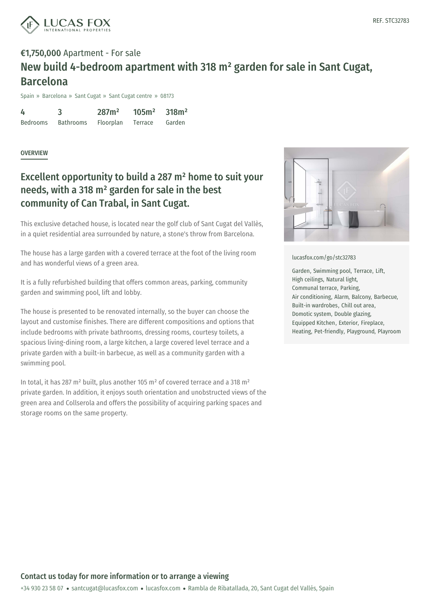

## €1,750,000 Apartment - For sale New build 4-bedroom apartment with 318 m² garden for sale in Sant Cugat, Barcelona

Spain » Barcelona » Sant Cugat » Sant Cugat centre » 08173

4 Bedrooms 3 Bathrooms 287m² Floorplan 105m² Terrace 318m² Garden

#### **OVERVIEW**

### Excellent opportunity to build a 287 m² home to suit your needs, with a 318 m² garden for sale in the best community of Can Trabal, in Sant Cugat.

This exclusive detached house, is located near the golf club of Sant Cugat del Vallès, in a quiet residential area surrounded by nature, a stone's throw from Barcelona.

The house has a large garden with a covered terrace at the foot of the living room and has wonderful views of a green area.

It is a fully refurbished building that offers common areas, parking, community garden and swimming pool, lift and lobby.

The house is presented to be renovated internally, so the buyer can choose the layout and customise finishes. There are different compositions and options that include bedrooms with private bathrooms, dressing rooms, courtesy toilets, a spacious living-dining room, a large kitchen, a large covered level terrace and a private garden with a built-in barbecue, as well as a community garden with a swimming pool.

In total, it has 287 m² built, plus another 105 m² of covered terrace and a 318 m² private garden. In addition, it enjoys south orientation and unobstructed views of the green area and Collserola and offers the possibility of acquiring parking spaces and storage rooms on the same property.



#### [lucasfox.com/go/stc32783](https://www.lucasfox.com/go/stc32783)

Garden, Swimming pool, Terrace, Lift, High ceilings, Natural light, Communal terrace, Parking, Air conditioning, Alarm, Balcony, Barbecue, Built-in wardrobes, Chill out area, Domotic system, Double glazing, Equipped Kitchen, Exterior, Fireplace, Heating, Pet-friendly, Playground, Playroom

+34 930 23 58 07 · santcugat@lucasfox.com · lucasfox.com · Rambla de Ribatallada, 20, Sant Cugat del Vallés, Spain